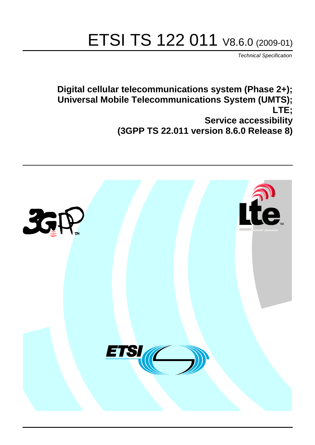# ETSI TS 122 011 V8.6.0 (2009-01)

*Technical Specification*

**Digital cellular telecommunications system (Phase 2+); Universal Mobile Telecommunications System (UMTS); LTE; Service accessibility (3GPP TS 22.011 version 8.6.0 Release 8)**

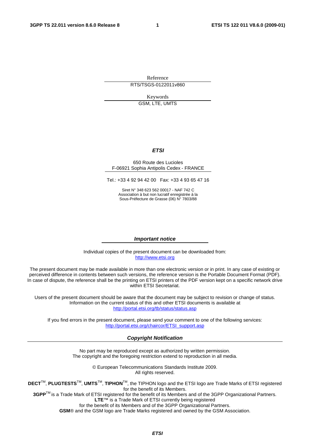Reference RTS/TSGS-0122011v860

Keywords

GSM, LTE, UMTS

#### *ETSI*

#### 650 Route des Lucioles F-06921 Sophia Antipolis Cedex - FRANCE

Tel.: +33 4 92 94 42 00 Fax: +33 4 93 65 47 16

Siret N° 348 623 562 00017 - NAF 742 C Association à but non lucratif enregistrée à la Sous-Préfecture de Grasse (06) N° 7803/88

#### *Important notice*

Individual copies of the present document can be downloaded from: [http://www.etsi.org](http://www.etsi.org/)

The present document may be made available in more than one electronic version or in print. In any case of existing or perceived difference in contents between such versions, the reference version is the Portable Document Format (PDF). In case of dispute, the reference shall be the printing on ETSI printers of the PDF version kept on a specific network drive within ETSI Secretariat.

Users of the present document should be aware that the document may be subject to revision or change of status. Information on the current status of this and other ETSI documents is available at <http://portal.etsi.org/tb/status/status.asp>

If you find errors in the present document, please send your comment to one of the following services: [http://portal.etsi.org/chaircor/ETSI\\_support.asp](http://portal.etsi.org/chaircor/ETSI_support.asp)

#### *Copyright Notification*

No part may be reproduced except as authorized by written permission. The copyright and the foregoing restriction extend to reproduction in all media.

> © European Telecommunications Standards Institute 2009. All rights reserved.

**DECT**TM, **PLUGTESTS**TM, **UMTS**TM, **TIPHON**TM, the TIPHON logo and the ETSI logo are Trade Marks of ETSI registered for the benefit of its Members.

**3GPP**TM is a Trade Mark of ETSI registered for the benefit of its Members and of the 3GPP Organizational Partners. **LTE**™ is a Trade Mark of ETSI currently being registered

for the benefit of its Members and of the 3GPP Organizational Partners.

**GSM**® and the GSM logo are Trade Marks registered and owned by the GSM Association.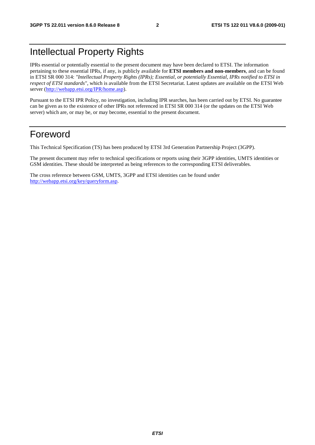# Intellectual Property Rights

IPRs essential or potentially essential to the present document may have been declared to ETSI. The information pertaining to these essential IPRs, if any, is publicly available for **ETSI members and non-members**, and can be found in ETSI SR 000 314: *"Intellectual Property Rights (IPRs); Essential, or potentially Essential, IPRs notified to ETSI in respect of ETSI standards"*, which is available from the ETSI Secretariat. Latest updates are available on the ETSI Web server ([http://webapp.etsi.org/IPR/home.asp\)](http://webapp.etsi.org/IPR/home.asp).

Pursuant to the ETSI IPR Policy, no investigation, including IPR searches, has been carried out by ETSI. No guarantee can be given as to the existence of other IPRs not referenced in ETSI SR 000 314 (or the updates on the ETSI Web server) which are, or may be, or may become, essential to the present document.

# Foreword

This Technical Specification (TS) has been produced by ETSI 3rd Generation Partnership Project (3GPP).

The present document may refer to technical specifications or reports using their 3GPP identities, UMTS identities or GSM identities. These should be interpreted as being references to the corresponding ETSI deliverables.

The cross reference between GSM, UMTS, 3GPP and ETSI identities can be found under [http://webapp.etsi.org/key/queryform.asp.](http://webapp.etsi.org/key/queryform.asp)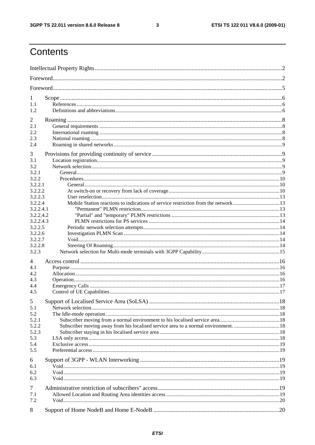$\mathbf{3}$ 

# Contents

| 1                    |                                                                                   |  |
|----------------------|-----------------------------------------------------------------------------------|--|
| 1.1                  |                                                                                   |  |
| 1.2                  |                                                                                   |  |
| $\overline{c}$       |                                                                                   |  |
| 2.1                  |                                                                                   |  |
| 2.2                  |                                                                                   |  |
| 2.3                  |                                                                                   |  |
| 2.4                  |                                                                                   |  |
| 3                    |                                                                                   |  |
| 3.1                  |                                                                                   |  |
| 3.2                  |                                                                                   |  |
| 3.2.1                |                                                                                   |  |
| 3.2.2                |                                                                                   |  |
| 3.2.2.1              |                                                                                   |  |
| 3.2.2.2              |                                                                                   |  |
| 3.2.2.3              |                                                                                   |  |
| 3.2.2.4<br>3.2.2.4.1 | Mobile Station reactions to indications of service restriction from the network13 |  |
| 3.2.2.4.2            |                                                                                   |  |
| 3.2.2.4.3            |                                                                                   |  |
| 3.2.2.5              |                                                                                   |  |
| 3.2.2.6              |                                                                                   |  |
| 3.2.2.7              |                                                                                   |  |
| 3.2.2.8              |                                                                                   |  |
| 3.2.3                |                                                                                   |  |
| 4                    |                                                                                   |  |
| 4.1                  |                                                                                   |  |
| 4.2                  |                                                                                   |  |
| 4.3                  |                                                                                   |  |
| 4.4                  |                                                                                   |  |
| 4.5                  |                                                                                   |  |
| 5 <sup>5</sup>       |                                                                                   |  |
| 5.1                  |                                                                                   |  |
| 5.2                  |                                                                                   |  |
| 5.2.1                |                                                                                   |  |
| 5.2.2                |                                                                                   |  |
| 5.2.3                |                                                                                   |  |
| 5.3                  |                                                                                   |  |
| 5.4<br>5.5           |                                                                                   |  |
|                      |                                                                                   |  |
| 6                    |                                                                                   |  |
| 6.1                  |                                                                                   |  |
| 6.2<br>6.3           |                                                                                   |  |
|                      |                                                                                   |  |
| $\tau$               |                                                                                   |  |
| 7.1                  |                                                                                   |  |
| 7.2                  |                                                                                   |  |
| 8                    |                                                                                   |  |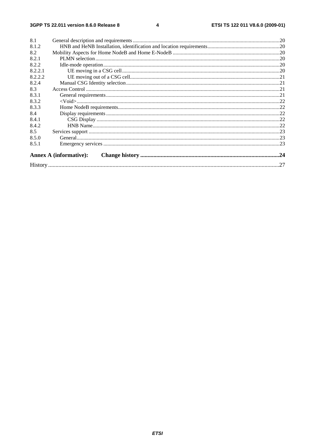#### $\overline{\mathbf{4}}$

| 8.1     |                               |     |
|---------|-------------------------------|-----|
| 8.1.2   |                               |     |
| 8.2     |                               |     |
| 8.2.1   |                               |     |
| 8.2.2   |                               |     |
| 8.2.2.1 |                               |     |
| 8.2.2.2 |                               |     |
| 8.2.4   |                               |     |
| 8.3     |                               |     |
| 8.3.1   |                               |     |
| 8.3.2   |                               |     |
| 8.3.3   |                               |     |
| 8.4     |                               |     |
| 8.4.1   |                               |     |
| 8.4.2   |                               |     |
| 8.5     |                               |     |
| 8.5.0   |                               |     |
| 8.5.1   |                               |     |
|         | <b>Annex A (informative):</b> |     |
|         |                               | .27 |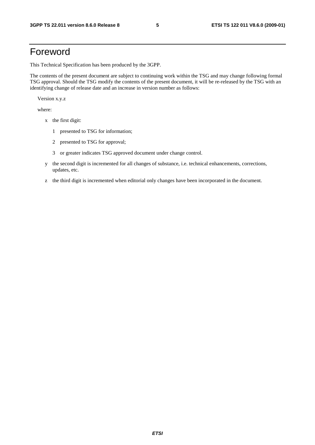# Foreword

This Technical Specification has been produced by the 3GPP.

The contents of the present document are subject to continuing work within the TSG and may change following formal TSG approval. Should the TSG modify the contents of the present document, it will be re-released by the TSG with an identifying change of release date and an increase in version number as follows:

Version x.y.z

where:

- x the first digit:
	- 1 presented to TSG for information;
	- 2 presented to TSG for approval;
	- 3 or greater indicates TSG approved document under change control.
- y the second digit is incremented for all changes of substance, i.e. technical enhancements, corrections, updates, etc.
- z the third digit is incremented when editorial only changes have been incorporated in the document.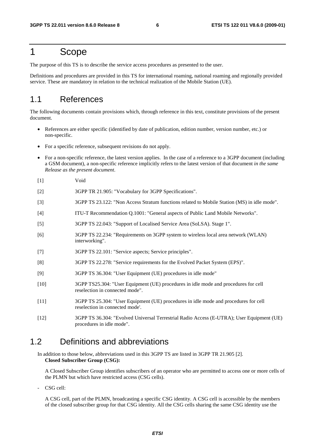# 1 Scope

The purpose of this TS is to describe the service access procedures as presented to the user.

Definitions and procedures are provided in this TS for international roaming, national roaming and regionally provided service. These are mandatory in relation to the technical realization of the Mobile Station (UE).

# 1.1 References

The following documents contain provisions which, through reference in this text, constitute provisions of the present document.

- References are either specific (identified by date of publication, edition number, version number, etc.) or non-specific.
- For a specific reference, subsequent revisions do not apply.
- For a non-specific reference, the latest version applies. In the case of a reference to a 3GPP document (including a GSM document), a non-specific reference implicitly refers to the latest version of that document *in the same Release as the present document*.
- [1] Void
- [2] 3GPP TR 21.905: "Vocabulary for 3GPP Specifications".
- [3] 3GPP TS 23.122: "Non Access Stratum functions related to Mobile Station (MS) in idle mode".
- [4] ITU-T Recommendation Q.1001: "General aspects of Public Land Mobile Networks".
- [5] 3GPP TS 22.043: "Support of Localised Service Area (SoLSA). Stage 1".
- [6] 3GPP TS 22.234: "Requirements on 3GPP system to wireless local area network (WLAN) interworking".
- [7] 3GPP TS 22.101: "Service aspects; Service principles".
- [8] 3GPP TS 22.278: "Service requirements for the Evolved Packet System (EPS)".
- [9] 3GPP TS 36.304: "User Equipment (UE) procedures in idle mode"
- [10] 3GPP TS25.304: "User Equipment (UE) procedures in idle mode and procedures for cell reselection in connected mode".
- [11] 3GPP TS 25.304: "User Equipment (UE) procedures in idle mode and procedures for cell reselection in connected mode'.
- [12] 3GPP TS 36.304: "Evolved Universal Terrestrial Radio Access (E-UTRA); User Equipment (UE) procedures in idle mode".

### 1.2 Definitions and abbreviations

In addition to those below, abbreviations used in this 3GPP TS are listed in 3GPP TR 21.905 [2]. **Closed Subscriber Group (CSG):** 

 A Closed Subscriber Group identifies subscribers of an operator who are permitted to access one or more cells of the PLMN but which have restricted access (CSG cells).

CSG cell:

 A CSG cell, part of the PLMN, broadcasting a specific CSG identity. A CSG cell is accessible by the members of the closed subscriber group for that CSG identity. All the CSG cells sharing the same CSG identity use the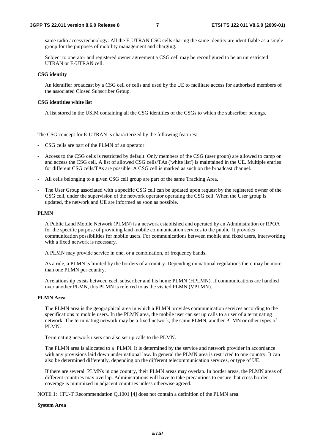same radio access technology. All the E-UTRAN CSG cells sharing the same identity are identifiable as a single group for the purposes of mobility management and charging.

 Subject to operator and registered owner agreement a CSG cell may be reconfigured to be an unrestricted UTRAN or E-UTRAN cell.

#### **CSG identity**

 An identifier broadcast by a CSG cell or cells and used by the UE to facilitate access for authorised members of the associated Closed Subscriber Group.

#### **CSG identities white list**

A list stored in the USIM containing all the CSG identities of the CSGs to which the subscriber belongs.

The CSG concept for E-UTRAN is characterized by the following features:

- CSG cells are part of the PLMN of an operator

- Access to the CSG cells is restricted by default. Only members of the CSG (user group) are allowed to camp on and access the CSG cell. A list of allowed CSG cells/TAs ('white list') is maintained in the UE. Multiple entries for different CSG cells/TAs are possible. A CSG cell is marked as such on the broadcast channel.
- All cells belonging to a given CSG cell group are part of the same Tracking Area.
- The User Group associated with a specific CSG cell can be updated upon request by the registered owner of the CSG cell, under the supervision of the network operator operating the CSG cell. When the User group is updated, the network and UE are informed as soon as possible.

#### **PLMN**

 A Public Land Mobile Network (PLMN) is a network established and operated by an Administration or RPOA for the specific purpose of providing land mobile communication services to the public. It provides communication possibilities for mobile users. For communications between mobile and fixed users, interworking with a fixed network is necessary.

A PLMN may provide service in one, or a combination, of frequency bands.

 As a rule, a PLMN is limited by the borders of a country. Depending on national regulations there may be more than one PLMN per country.

 A relationship exists between each subscriber and his home PLMN (HPLMN). If communications are handled over another PLMN, this PLMN is referred to as the visited PLMN (VPLMN).

#### **PLMN Area**

 The PLMN area is the geographical area in which a PLMN provides communication services according to the specifications to mobile users. In the PLMN area, the mobile user can set up calls to a user of a terminating network. The terminating network may be a fixed network, the same PLMN, another PLMN or other types of PLMN.

Terminating network users can also set up calls to the PLMN.

 The PLMN area is allocated to a PLMN. It is determined by the service and network provider in accordance with any provisions laid down under national law. In general the PLMN area is restricted to one country. It can also be determined differently, depending on the different telecommunication services, or type of UE.

 If there are several PLMNs in one country, their PLMN areas may overlap. In border areas, the PLMN areas of different countries may overlap. Administrations will have to take precautions to ensure that cross border coverage is minimized in adjacent countries unless otherwise agreed.

NOTE 1: ITU-T Recommendation Q.1001 [4] does not contain a definition of the PLMN area.

#### **System Area**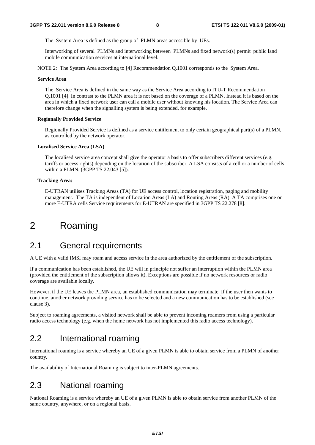The System Area is defined as the group of PLMN areas accessible by UEs.

 Interworking of several PLMNs and interworking between PLMNs and fixed network(s) permit public land mobile communication services at international level.

NOTE 2: The System Area according to [4] Recommendation Q.1001 corresponds to the System Area.

#### **Service Area**

 The Service Area is defined in the same way as the Service Area according to ITU-T Recommendation Q.1001 [4]. In contrast to the PLMN area it is not based on the coverage of a PLMN. Instead it is based on the area in which a fixed network user can call a mobile user without knowing his location. The Service Area can therefore change when the signalling system is being extended, for example.

#### **Regionally Provided Service**

 Regionally Provided Service is defined as a service entitlement to only certain geographical part(s) of a PLMN, as controlled by the network operator.

#### **Localised Service Area (LSA)**

 The localised service area concept shall give the operator a basis to offer subscribers different services (e.g. tariffs or access rights) depending on the location of the subscriber. A LSA consists of a cell or a number of cells within a PLMN. (3GPP TS 22.043 [5]).

#### **Tracking Area:**

E-UTRAN utilises Tracking Areas (TA) for UE access control, location registration, paging and mobility management. The TA is independent of Location Areas (LA) and Routing Areas (RA). A TA comprises one or more E-UTRA cells Service requirements for E-UTRAN are specified in 3GPP TS 22.278 [8].

# 2 Roaming

# 2.1 General requirements

A UE with a valid IMSI may roam and access service in the area authorized by the entitlement of the subscription.

If a communication has been established, the UE will in principle not suffer an interruption within the PLMN area (provided the entitlement of the subscription allows it). Exceptions are possible if no network resources or radio coverage are available locally.

However, if the UE leaves the PLMN area, an established communication may terminate. If the user then wants to continue, another network providing service has to be selected and a new communication has to be established (see clause 3).

Subject to roaming agreements, a visited network shall be able to prevent incoming roamers from using a particular radio access technology (e.g. when the home network has not implemented this radio access technology).

# 2.2 International roaming

International roaming is a service whereby an UE of a given PLMN is able to obtain service from a PLMN of another country.

The availability of International Roaming is subject to inter-PLMN agreements.

# 2.3 National roaming

National Roaming is a service whereby an UE of a given PLMN is able to obtain service from another PLMN of the same country, anywhere, or on a regional basis.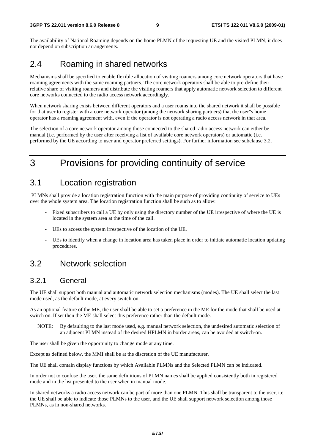The availability of National Roaming depends on the home PLMN of the requesting UE and the visited PLMN; it does not depend on subscription arrangements.

# 2.4 Roaming in shared networks

Mechanisms shall be specified to enable flexible allocation of visiting roamers among core network operators that have roaming agreements with the same roaming partners. The core network operators shall be able to pre-define their relative share of visiting roamers and distribute the visiting roamers that apply automatic network selection to different core networks connected to the radio access network accordingly.

When network sharing exists between different operators and a user roams into the shared network it shall be possible for that user to register with a core network operator (among the network sharing partners) that the user"s home operator has a roaming agreement with, even if the operator is not operating a radio access network in that area.

The selection of a core network operator among those connected to the shared radio access network can either be manual (i.e. performed by the user after receiving a list of available core network operators) or automatic (i.e. performed by the UE according to user and operator preferred settings). For further information see subclause 3.2.

# 3 Provisions for providing continuity of service

# 3.1 Location registration

 PLMNs shall provide a location registration function with the main purpose of providing continuity of service to UEs over the whole system area. The location registration function shall be such as to allow:

- Fixed subscribers to call a UE by only using the directory number of the UE irrespective of where the UE is located in the system area at the time of the call.
- UEs to access the system irrespective of the location of the UE.
- UEs to identify when a change in location area has taken place in order to initiate automatic location updating procedures.

# 3.2 Network selection

### 3.2.1 General

The UE shall support both manual and automatic network selection mechanisms (modes). The UE shall select the last mode used, as the default mode, at every switch-on.

As an optional feature of the ME, the user shall be able to set a preference in the ME for the mode that shall be used at switch on. If set then the ME shall select this preference rather than the default mode.

NOTE: By defaulting to the last mode used, e.g. manual network selection, the undesired automatic selection of an adjacent PLMN instead of the desired HPLMN in border areas, can be avoided at switch-on.

The user shall be given the opportunity to change mode at any time.

Except as defined below, the MMI shall be at the discretion of the UE manufacturer.

The UE shall contain display functions by which Available PLMNs and the Selected PLMN can be indicated.

In order not to confuse the user, the same definitions of PLMN names shall be applied consistently both in registered mode and in the list presented to the user when in manual mode.

In shared networks a radio access network can be part of more than one PLMN. This shall be transparent to the user, i.e. the UE shall be able to indicate those PLMNs to the user, and the UE shall support network selection among those PLMNs, as in non-shared networks.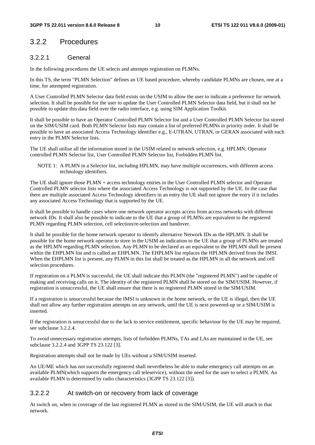### 3.2.2 Procedures

#### 3.2.2.1 General

In the following procedures the UE selects and attempts registration on PLMNs.

In this TS, the term "PLMN Selection" defines an UE based procedure, whereby candidate PLMNs are chosen, one at a time, for attempted registration.

A User Controlled PLMN Selector data field exists on the USIM to allow the user to indicate a preference for network selection. It shall be possible for the user to update the User Controlled PLMN Selector data field, but it shall not be possible to update this data field over the radio interface, e.g. using SIM Application Toolkit.

It shall be possible to have an Operator Controlled PLMN Selector list and a User Controlled PLMN Selector list stored on the SIM/USIM card. Both PLMN Selector lists may contain a list of preferred PLMNs in priority order. It shall be possible to have an associated Access Technology identifier e.g., E-UTRAN, UTRAN, or GERAN associated with each entry in the PLMN Selector lists.

The UE shall utilise all the information stored in the USIM related to network selection, e.g. HPLMN, Operator controlled PLMN Selector list, User Controlled PLMN Selector list, Forbidden PLMN list.

NOTE 1: A PLMN in a Selector list, including HPLMN, may have multiple occurrences, with different access technology identifiers.

The UE shall ignore those PLMN + access technology entries in the User Controlled PLMN selector and Operator Controlled PLMN selector lists where the associated Access Technology is not supported by the UE. In the case that there are multiple associated Access Technology identifiers in an entry the UE shall not ignore the entry if it includes any associated Access Technology that is supported by the UE.

It shall be possible to handle cases where one network operator accepts access from access networks with different network IDs. It shall also be possible to indicate to the UE that a group of PLMNs are equivalent to the registered PLMN regarding PLMN selection, cell selection/re-selection and handover.

It shall be possible for the home network operator to identify alternative Network IDs as the HPLMN. It shall be possible for the home network operator to store in the USIM an indication to the UE that a group of PLMNs are treated as the HPLMN regarding PLMN selection. Any PLMN to be declared as an equivalent to the HPLMN shall be present within the EHPLMN list and is called an EHPLMN. The EHPLMN list replaces the HPLMN derived from the IMSI. When the EHPLMN list is present, any PLMN in this list shall be treated as the HPLMN in all the network and cell selection procedures.

If registration on a PLMN is successful, the UE shall indicate this PLMN (the "registered PLMN") and be capable of making and receiving calls on it. The identity of the registered PLMN shall be stored on the SIM/USIM. However, if registration is unsuccessful, the UE shall ensure that there is no registered PLMN stored in the SIM/USIM.

If a registration is unsuccessful because the IMSI is unknown in the home network, or the UE is illegal, then the UE shall not allow any further registration attempts on any network, until the UE is next powered-up or a SIM/USIM is inserted.

If the registration is unsuccessful due to the lack to service entitlement, specific behaviour by the UE may be required, see subclause 3.2.2.4.

To avoid unnecessary registration attempts, lists of forbidden PLMNs, TAs and LAs are maintained in the UE, see subclause 3.2.2.4 and 3GPP TS 23.122 [3].

Registration attempts shall not be made by UEs without a SIM/USIM inserted.

An UE/ME which has not successfully registered shall nevertheless be able to make emergency call attempts on an available PLMN(which supports the emergency call teleservice), without the need for the user to select a PLMN. An available PLMN is determined by radio characteristics (3GPP TS 23.122 [3]).

#### 3.2.2.2 At switch-on or recovery from lack of coverage

At switch on, when in coverage of the last registered PLMN as stored in the SIM/USIM, the UE will attach to that network.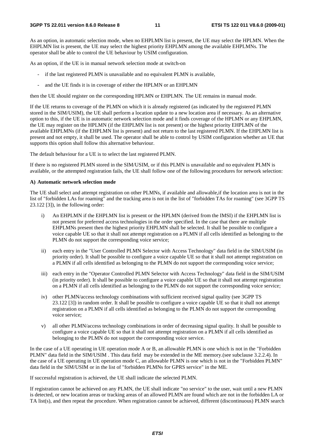As an option, in automatic selection mode, when no EHPLMN list is present, the UE may select the HPLMN. When the EHPLMN list is present, the UE may select the highest priority EHPLMN among the available EHPLMNs. The operator shall be able to control the UE behaviour by USIM configuration.

As an option, if the UE is in manual network selection mode at switch-on

- if the last registered PLMN is unavailable and no equivalent PLMN is available,
- and the UE finds it is in coverage of either the HPLMN or an EHPLMN

then the UE should register on the corresponding HPLMN or EHPLMN. The UE remains in manual mode.

If the UE returns to coverage of the PLMN on which it is already registered (as indicated by the registered PLMN stored in the SIM/USIM), the UE shall perform a location update to a new location area if necessary. As an alternative option to this, if the UE is in automatic network selection mode and it finds coverage of the HPLMN or any EHPLMN, the UE may register on the HPLMN (if the EHPLMN list is not present) or the highest priority EHPLMN of the available EHPLMNs (if the EHPLMN list is present) and not return to the last registered PLMN. If the EHPLMN list is present and not empty, it shall be used. The operator shall be able to control by USIM configuration whether an UE that supports this option shall follow this alternative behaviour.

The default behaviour for a UE is to select the last registered PLMN.

If there is no registered PLMN stored in the SIM/USIM, or if this PLMN is unavailable and no equivalent PLMN is available, or the attempted registration fails, the UE shall follow one of the following procedures for network selection:

#### **A) Automatic network selection mode**

The UE shall select and attempt registration on other PLMNs, if available and allowable,if the location area is not in the list of "forbidden LAs for roaming" and the tracking area is not in the list of "forbidden TAs for roaming" (see 3GPP TS 23.122 [3]), in the following order:

- i) An EHPLMN if the EHPLMN list is present or the HPLMN (derived from the IMSI) if the EHPLMN list is not present for preferred access technologies in the order specified. In the case that there are multiple EHPLMNs present then the highest priority EHPLMN shall be selected. It shall be possible to configure a voice capable UE so that it shall not attempt registration on a PLMN if all cells identified as belonging to the PLMN do not support the corresponding voice service;
- ii) each entry in the "User Controlled PLMN Selector with Access Technology" data field in the SIM/USIM (in priority order). It shall be possible to configure a voice capable UE so that it shall not attempt registration on a PLMN if all cells identified as belonging to the PLMN do not support the corresponding voice service;
- iii) each entry in the "Operator Controlled PLMN Selector with Access Technology" data field in the SIM/USIM (in priority order). It shall be possible to configure a voice capable UE so that it shall not attempt registration on a PLMN if all cells identified as belonging to the PLMN do not support the corresponding voice service;
- iv) other PLMN/access technology combinations with sufficient received signal quality (see 3GPP TS 23.122 [3]) in random order. It shall be possible to configure a voice capable UE so that it shall not attempt registration on a PLMN if all cells identified as belonging to the PLMN do not support the corresponding voice service;
- v) all other PLMN/access technology combinations in order of decreasing signal quality. It shall be possible to configure a voice capable UE so that it shall not attempt registration on a PLMN if all cells identified as belonging to the PLMN do not support the corresponding voice service.

In the case of a UE operating in UE operation mode A or B, an allowable PLMN is one which is not in the "Forbidden PLMN" data field in the SIM/USIM . This data field may be extended in the ME memory.(see subclause 3.2.2.4). In the case of a UE operating in UE operation mode C, an allowable PLMN is one which is not in the "Forbidden PLMN" data field in the SIM/USIM or in the list of "forbidden PLMNs for GPRS service" in the ME.

If successful registration is achieved, the UE shall indicate the selected PLMN.

If registration cannot be achieved on any PLMN, the UE shall indicate "no service" to the user, wait until a new PLMN is detected, or new location areas or tracking areas of an allowed PLMN are found which are not in the forbidden LA or TA list(s), and then repeat the procedure. When registration cannot be achieved, different (discontinuous) PLMN search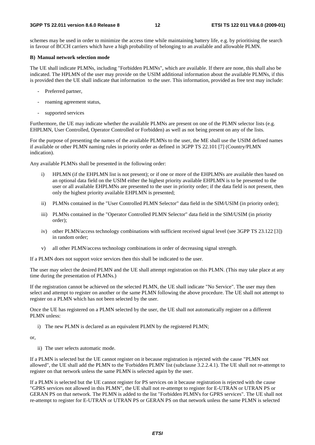schemes may be used in order to minimize the access time while maintaining battery life, e.g. by prioritising the search in favour of BCCH carriers which have a high probability of belonging to an available and allowable PLMN.

#### **B) Manual network selection mode**

The UE shall indicate PLMNs, including "Forbidden PLMNs", which are available. If there are none, this shall also be indicated. The HPLMN of the user may provide on the USIM additional information about the available PLMNs, if this is provided then the UE shall indicate that information to the user. This information, provided as free text may include:

- Preferred partner,
- roaming agreement status,
- supported services

Furthermore, the UE may indicate whether the available PLMNs are present on one of the PLMN selector lists (e.g. EHPLMN, User Controlled, Operator Controlled or Forbidden) as well as not being present on any of the lists.

For the purpose of presenting the names of the available PLMNs to the user, the ME shall use the USIM defined names if available or other PLMN naming rules in priority order as defined in 3GPP TS 22.101 [7] (Country/PLMN indication).

Any available PLMNs shall be presented in the following order:

- HPLMN (if the EHPLMN list is not present); or if one or more of the EHPLMNs are available then based on an optional data field on the USIM either the highest priority available EHPLMN is to be presented to the user or all available EHPLMNs are presented to the user in priority order; if the data field is not present, then only the highest priority available EHPLMN is presented;
- ii) PLMNs contained in the "User Controlled PLMN Selector" data field in the SIM/USIM (in priority order);
- iii) PLMNs contained in the "Operator Controlled PLMN Selector" data field in the SIM/USIM (in priority order);
- iv) other PLMN/access technology combinations with sufficient received signal level (see 3GPP TS 23.122 [3]) in random order;
- v) all other PLMN/access technology combinations in order of decreasing signal strength.

If a PLMN does not support voice services then this shall be indicated to the user.

The user may select the desired PLMN and the UE shall attempt registration on this PLMN. (This may take place at any time during the presentation of PLMNs.)

If the registration cannot be achieved on the selected PLMN, the UE shall indicate "No Service". The user may then select and attempt to register on another or the same PLMN following the above procedure. The UE shall not attempt to register on a PLMN which has not been selected by the user.

Once the UE has registered on a PLMN selected by the user, the UE shall not automatically register on a different PLMN unless:

i) The new PLMN is declared as an equivalent PLMN by the registered PLMN;

or,

ii) The user selects automatic mode.

If a PLMN is selected but the UE cannot register on it because registration is rejected with the cause "PLMN not allowed", the UE shall add the PLMN to the 'Forbidden PLMN' list (subclause 3.2.2.4.1). The UE shall not re-attempt to register on that network unless the same PLMN is selected again by the user.

If a PLMN is selected but the UE cannot register for PS services on it because registration is rejected with the cause "GPRS services not allowed in this PLMN", the UE shall not re-attempt to register for E-UTRAN or UTRAN PS or GERAN PS on that network. The PLMN is added to the list "Forbidden PLMN's for GPRS services". The UE shall not re-attempt to register for E-UTRAN or UTRAN PS or GERAN PS on that network unless the same PLMN is selected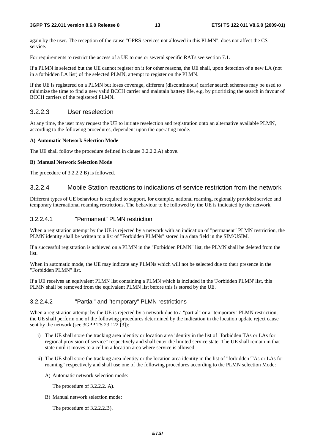#### **3GPP TS 22.011 version 8.6.0 Release 8 13 ETSI TS 122 011 V8.6.0 (2009-01)**

again by the user. The reception of the cause "GPRS services not allowed in this PLMN", does not affect the CS service.

For requirements to restrict the access of a UE to one or several specific RATs see section 7.1.

If a PLMN is selected but the UE cannot register on it for other reasons, the UE shall, upon detection of a new LA (not in a forbidden LA list) of the selected PLMN, attempt to register on the PLMN.

If the UE is registered on a PLMN but loses coverage, different (discontinuous) carrier search schemes may be used to minimize the time to find a new valid BCCH carrier and maintain battery life, e.g. by prioritizing the search in favour of BCCH carriers of the registered PLMN.

### 3.2.2.3 User reselection

At any time, the user may request the UE to initiate reselection and registration onto an alternative available PLMN, according to the following procedures, dependent upon the operating mode.

### **A) Automatic Network Selection Mode**

The UE shall follow the procedure defined in clause 3.2.2.2.A) above.

### **B) Manual Network Selection Mode**

The procedure of 3.2.2.2 B) is followed.

### 3.2.2.4 Mobile Station reactions to indications of service restriction from the network

Different types of UE behaviour is required to support, for example, national roaming, regionally provided service and temporary international roaming restrictions. The behaviour to be followed by the UE is indicated by the network.

### 3.2.2.4.1 "Permanent" PLMN restriction

When a registration attempt by the UE is rejected by a network with an indication of "permanent" PLMN restriction, the PLMN identity shall be written to a list of "Forbidden PLMNs" stored in a data field in the SIM/USIM.

If a successful registration is achieved on a PLMN in the "Forbidden PLMN" list, the PLMN shall be deleted from the list.

When in automatic mode, the UE may indicate any PLMNs which will not be selected due to their presence in the "Forbidden PLMN" list.

If a UE receives an equivalent PLMN list containing a PLMN which is included in the 'Forbidden PLMN' list, this PLMN shall be removed from the equivalent PLMN list before this is stored by the UE.

### 3.2.2.4.2 "Partial" and "temporary" PLMN restrictions

When a registration attempt by the UE is rejected by a network due to a "partial" or a "temporary" PLMN restriction, the UE shall perform one of the following procedures determined by the indication in the location update reject cause sent by the network (see 3GPP TS 23.122 [3]):

- i) The UE shall store the tracking area identity or location area identity in the list of "forbidden TAs or LAs for regional provision of service" respectively and shall enter the limited service state. The UE shall remain in that state until it moves to a cell in a location area where service is allowed.
- ii) The UE shall store the tracking area identity or the location area identity in the list of "forbidden TAs or LAs for roaming" respectively and shall use one of the following procedures according to the PLMN selection Mode:
	- A) Automatic network selection mode:

The procedure of 3.2.2.2. A).

B) Manual network selection mode:

The procedure of 3.2.2.2.B).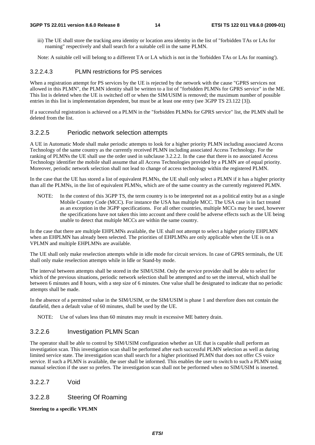iii) The UE shall store the tracking area identity or location area identity in the list of "forbidden TAs or LAs for roaming" respectively and shall search for a suitable cell in the same PLMN.

Note: A suitable cell will belong to a different TA or LA which is not in the 'forbidden TAs or LAs for roaming').

#### 3.2.2.4.3 PLMN restrictions for PS services

When a registration attempt for PS services by the UE is rejected by the network with the cause "GPRS services not allowed in this PLMN", the PLMN identity shall be written to a list of "forbidden PLMNs for GPRS service" in the ME. This list is deleted when the UE is switched off or when the SIM/USIM is removed; the maximum number of possible entries in this list is implementation dependent, but must be at least one entry (see 3GPP TS 23.122 [3]).

If a successful registration is achieved on a PLMN in the "forbidden PLMNs for GPRS service" list, the PLMN shall be deleted from the list.

#### 3.2.2.5 Periodic network selection attempts

A UE in Automatic Mode shall make periodic attempts to look for a higher priority PLMN including associated Access Technology of the same country as the currently received PLMN including associated Access Technology. For the ranking of PLMNs the UE shall use the order used in subclause 3.2.2.2. In the case that there is no associated Access Technology identifier the mobile shall assume that all Access Technologies provided by a PLMN are of equal priority. Moreover, periodic network selection shall not lead to change of access technology within the registered PLMN.

In the case that the UE has stored a list of equivalent PLMNs, the UE shall only select a PLMN if it has a higher priority than all the PLMNs, in the list of equivalent PLMNs, which are of the same country as the currently registered PLMN.

NOTE: In the context of this 3GPP TS, the term country is to be interpreted not as a political entity but as a single Mobile Country Code (MCC). For instance the USA has multiple MCC. The USA case is in fact treated as an exception in the 3GPP specifications. For all other countries, multiple MCCs may be used, however the specifications have not taken this into account and there could be adverse effects such as the UE being unable to detect that multiple MCCs are within the same country.

In the case that there are multiple EHPLMNs available, the UE shall not attempt to select a higher priority EHPLMN when an EHPLMN has already been selected. The priorities of EHPLMNs are only applicable when the UE is on a VPLMN and multiple EHPLMNs are available.

The UE shall only make reselection attempts while in idle mode for circuit services. In case of GPRS terminals, the UE shall only make reselection attempts while in Idle or Stand-by mode.

The interval between attempts shall be stored in the SIM/USIM. Only the service provider shall be able to select for which of the previous situations, periodic network selection shall be attempted and to set the interval, which shall be between 6 minutes and 8 hours, with a step size of 6 minutes. One value shall be designated to indicate that no periodic attempts shall be made.

In the absence of a permitted value in the SIM/USIM, or the SIM/USIM is phase 1 and therefore does not contain the datafield, then a default value of 60 minutes, shall be used by the UE.

NOTE: Use of values less than 60 minutes may result in excessive ME battery drain.

#### 3.2.2.6 Investigation PLMN Scan

The operator shall be able to control by SIM/USIM configuration whether an UE that is capable shall perform an investigation scan. This investigation scan shall be performed after each successful PLMN selection as well as during limited service state. The investigation scan shall search for a higher prioritised PLMN that does not offer CS voice service. If such a PLMN is available, the user shall be informed. This enables the user to switch to such a PLMN using manual selection if the user so prefers. The investigation scan shall not be performed when no SIM/USIM is inserted.

3.2.2.7 Void

#### 3.2.2.8 Steering Of Roaming

#### **Steering to a specific VPLMN**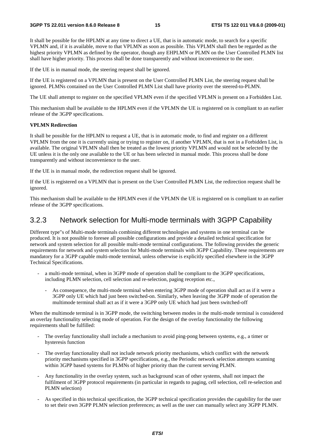It shall be possible for the HPLMN at any time to direct a UE, that is in automatic mode, to search for a specific VPLMN and, if it is available, move to that VPLMN as soon as possible. This VPLMN shall then be regarded as the highest priority VPLMN as defined by the operator, though any EHPLMN or PLMN on the User Controlled PLMN list shall have higher priority. This process shall be done transparently and without inconvenience to the user.

If the UE is in manual mode, the steering request shall be ignored.

If the UE is registered on a VPLMN that is present on the User Controlled PLMN List, the steering request shall be ignored. PLMNs contained on the User Controlled PLMN List shall have priority over the steered-to-PLMN.

The UE shall attempt to register on the specified VPLMN even if the specified VPLMN is present on a Forbidden List.

This mechanism shall be available to the HPLMN even if the VPLMN the UE is registered on is compliant to an earlier release of the 3GPP specifications.

#### **VPLMN Redirection**

It shall be possible for the HPLMN to request a UE, that is in automatic mode, to find and register on a different VPLMN from the one it is currently using or trying to register on, if another VPLMN, that is not in a Forbidden List, is available. The original VPLMN shall then be treated as the lowest priority VPLMN and would not be selected by the UE unless it is the only one available to the UE or has been selected in manual mode. This process shall be done transparently and without inconvenience to the user.

If the UE is in manual mode, the redirection request shall be ignored.

If the UE is registered on a VPLMN that is present on the User Controlled PLMN List, the redirection request shall be ignored.

This mechanism shall be available to the HPLMN even if the VPLMN the UE is registered on is compliant to an earlier release of the 3GPP specifications.

### 3.2.3 Network selection for Multi-mode terminals with 3GPP Capability

Different type"s of Multi-mode terminals combining different technologies and systems in one terminal can be produced. It is not possible to foresee all possible configurations and provide a detailed technical specification for network and system selection for all possible multi-mode terminal configurations. The following provides the generic requirements for network and system selection for Multi-mode terminals with 3GPP Capability. These requirements are mandatory for a 3GPP capable multi-mode terminal, unless otherwise is explicitly specified elsewhere in the 3GPP Technical Specifications.

- a multi-mode terminal, when in 3GPP mode of operation shall be compliant to the 3GPP specifications, including PLMN selection, cell selection and re-selection, paging reception etc.,
	- As consequence, the multi-mode terminal when entering 3GPP mode of operation shall act as if it were a 3GPP only UE which had just been switched-on. Similarly, when leaving the 3GPP mode of operation the multimode terminal shall act as if it were a 3GPP only UE which had just been switched-off

When the multimode terminal is in 3GPP mode, the switching between modes in the multi-mode terminal is considered an overlay functionality selecting mode of operation. For the design of the overlay functionality the following requirements shall be fulfilled:

- The overlay functionality shall include a mechanism to avoid ping-pong between systems, e.g., a timer or hysteresis function
- The overlay functionality shall not include network priority mechanisms, which conflict with the network priority mechanisms specified in 3GPP specifications, e.g., the Periodic network selection attempts scanning within 3GPP based systems for PLMNs of higher priority than the current serving PLMN.
- Any functionality in the overlay system, such as background scan of other systems, shall not impact the fulfilment of 3GPP protocol requirements (in particular in regards to paging, cell selection, cell re-selection and PLMN selection)
- As specified in this technical specification, the 3GPP technical specification provides the capability for the user to set their own 3GPP PLMN selection preferences; as well as the user can manually select any 3GPP PLMN.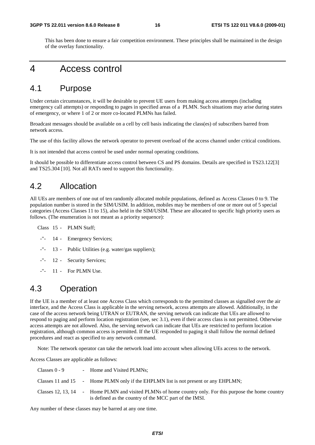This has been done to ensure a fair competition environment. These principles shall be maintained in the design of the overlay functionality.

# 4 Access control

### 4.1 Purpose

Under certain circumstances, it will be desirable to prevent UE users from making access attempts (including emergency call attempts) or responding to pages in specified areas of a PLMN. Such situations may arise during states of emergency, or where 1 of 2 or more co-located PLMNs has failed.

Broadcast messages should be available on a cell by cell basis indicating the class(es) of subscribers barred from network access.

The use of this facility allows the network operator to prevent overload of the access channel under critical conditions.

It is not intended that access control be used under normal operating conditions.

It should be possible to differentiate access control between CS and PS domains. Details are specified in TS23.122[3] and TS25.304 [10]. Not all RATs need to support this functionality.

### 4.2 Allocation

All UEs are members of one out of ten randomly allocated mobile populations, defined as Access Classes 0 to 9. The population number is stored in the SIM/USIM. In addition, mobiles may be members of one or more out of 5 special categories (Access Classes 11 to 15), also held in the SIM/USIM. These are allocated to specific high priority users as follows. (The enumeration is not meant as a priority sequence):

Class 15 - PLMN Staff;

- -"- 14 Emergency Services;
- -"- 13 Public Utilities (e.g. water/gas suppliers);
- -"- 12 Security Services;
- -"- 11 For PLMN Use.

### 4.3 Operation

If the UE is a member of at least one Access Class which corresponds to the permitted classes as signalled over the air interface, and the Access Class is applicable in the serving network, access attempts are allowed. Additionally, in the case of the access network being UTRAN or EUTRAN, the serving network can indicate that UEs are allowed to respond to paging and perform location registration (see, sec 3.1), even if their access class is not permitted. Otherwise access attempts are not allowed. Also, the serving network can indicate that UEs are restricted to perform location registration, although common access is permitted. If the UE responded to paging it shall follow the normal defined procedures and react as specified to any network command.

Note: The network operator can take the network load into account when allowing UEs access to the network.

Access Classes are applicable as follows:

| Classes $0 - 9$ | - Home and Visited PLMNs;                                                                                                                                          |
|-----------------|--------------------------------------------------------------------------------------------------------------------------------------------------------------------|
|                 | Classes 11 and 15 - Home PLMN only if the EHPLMN list is not present or any EHPLMN;                                                                                |
|                 | Classes 12, 13, 14 - Home PLMN and visited PLMNs of home country only. For this purpose the home country<br>is defined as the country of the MCC part of the IMSI. |

Any number of these classes may be barred at any one time.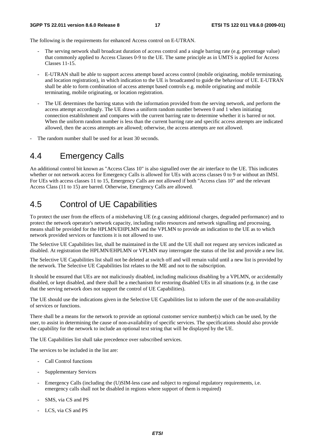The following is the requirements for enhanced Access control on E-UTRAN.

- The serving network shall broadcast duration of access control and a single barring rate (e.g. percentage value) that commonly applied to Access Classes 0-9 to the UE. The same principle as in UMTS is applied for Access Classes 11-15.
- E-UTRAN shall be able to support access attempt based access control (mobile originating, mobile terminating, and location registration), in which indication to the UE is broadcasted to guide the behaviour of UE. E-UTRAN shall be able to form combination of access attempt based controls e.g. mobile originating and mobile terminating, mobile originating, or location registration.
- The UE determines the barring status with the information provided from the serving network, and perform the access attempt accordingly. The UE draws a uniform random number between 0 and 1 when initiating connection establishment and compares with the current barring rate to determine whether it is barred or not. When the uniform random number is less than the current barring rate and specific access attempts are indicated allowed, then the access attempts are allowed; otherwise, the access attempts are not allowed.
- The random number shall be used for at least 30 seconds.

# 4.4 Emergency Calls

An additional control bit known as "Access Class 10" is also signalled over the air interface to the UE. This indicates whether or not network access for Emergency Calls is allowed for UEs with access classes 0 to 9 or without an IMSI. For UEs with access classes 11 to 15, Emergency Calls are not allowed if both "Access class 10" and the relevant Access Class (11 to 15) are barred. Otherwise, Emergency Calls are allowed.

# 4.5 Control of UE Capabilities

To protect the user from the effects of a misbehaving UE (e.g causing additional charges, degraded performance) and to protect the network operator's network capacity, including radio resources and network signalling and processing, means shall be provided for the HPLMN/EHPLMN and the VPLMN to provide an indication to the UE as to which network provided services or functions it is not allowed to use.

The Selective UE Capabilities list, shall be maintained in the UE and the UE shall not request any services indicated as disabled. At registration the HPLMN/EHPLMN or VPLMN may interrogate the status of the list and provide a new list.

The Selective UE Capabilities list shall not be deleted at switch off and will remain valid until a new list is provided by the network. The Selective UE Capabilities list relates to the ME and not to the subscription.

It should be ensured that UEs are not maliciously disabled, including malicious disabling by a VPLMN, or accidentally disabled, or kept disabled, and there shall be a mechanism for restoring disabled UEs in all situations (e.g. in the case that the serving network does not support the control of UE Capabilities).

The UE should use the indications given in the Selective UE Capabilities list to inform the user of the non-availability of services or functions.

There shall be a means for the network to provide an optional customer service number(s) which can be used, by the user, to assist in determining the cause of non-availability of specific services. The specifications should also provide the capability for the network to include an optional text string that will be displayed by the UE.

The UE Capabilities list shall take precedence over subscribed services.

The services to be included in the list are:

- Call Control functions
- Supplementary Services
- Emergency Calls (including the (U)SIM-less case and subject to regional regulatory requirements, i.e. emergency calls shall not be disabled in regions where support of them is required)
- SMS, via CS and PS
- LCS, via CS and PS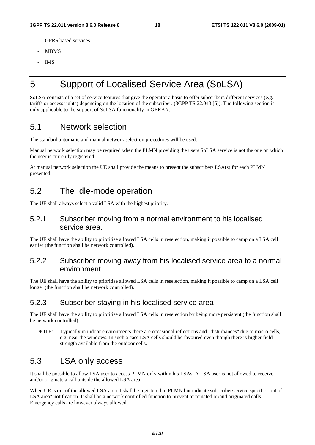- GPRS based services
- MBMS
- IMS

# 5 Support of Localised Service Area (SoLSA)

SoLSA consists of a set of service features that give the operator a basis to offer subscribers different services (e.g. tariffs or access rights) depending on the location of the subscriber. (3GPP TS 22.043 [5]). The following section is only applicable to the support of SoLSA functionality in GERAN.

# 5.1 Network selection

The standard automatic and manual network selection procedures will be used.

Manual network selection may be required when the PLMN providing the users SoLSA service is not the one on which the user is currently registered.

At manual network selection the UE shall provide the means to present the subscribers LSA(s) for each PLMN presented.

# 5.2 The Idle-mode operation

The UE shall always select a valid LSA with the highest priority.

### 5.2.1 Subscriber moving from a normal environment to his localised service area.

The UE shall have the ability to prioritise allowed LSA cells in reselection, making it possible to camp on a LSA cell earlier (the function shall be network controlled).

### 5.2.2 Subscriber moving away from his localised service area to a normal environment.

The UE shall have the ability to prioritise allowed LSA cells in reselection, making it possible to camp on a LSA cell longer (the function shall be network controlled).

### 5.2.3 Subscriber staying in his localised service area

The UE shall have the ability to prioritise allowed LSA cells in reselection by being more persistent (the function shall be network controlled).

NOTE: Typically in indoor environments there are occasional reflections and "disturbances" due to macro cells, e.g. near the windows. In such a case LSA cells should be favoured even though there is higher field strength available from the outdoor cells.

# 5.3 LSA only access

It shall be possible to allow LSA user to access PLMN only within his LSAs. A LSA user is not allowed to receive and/or originate a call outside the allowed LSA area.

When UE is out of the allowed LSA area it shall be registered in PLMN but indicate subscriber/service specific "out of LSA area" notification. It shall be a network controlled function to prevent terminated or/and originated calls. Emergency calls are however always allowed.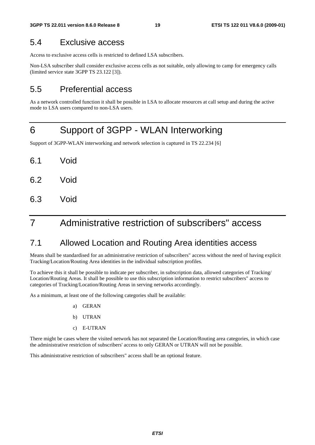# 5.4 Exclusive access

Access to exclusive access cells is restricted to defined LSA subscribers.

Non-LSA subscriber shall consider exclusive access cells as not suitable, only allowing to camp for emergency calls (limited service state 3GPP TS 23.122 [3]).

### 5.5 Preferential access

As a network controlled function it shall be possible in LSA to allocate resources at call setup and during the active mode to LSA users compared to non-LSA users.

# 6 Support of 3GPP - WLAN Interworking

Support of 3GPP-WLAN interworking and network selection is captured in TS 22.234 [6]

- 6.1 Void
- 6.2 Void
- 6.3 Void

# 7 Administrative restriction of subscribers" access

# 7.1 Allowed Location and Routing Area identities access

Means shall be standardised for an administrative restriction of subscribers" access without the need of having explicit Tracking/Location/Routing Area identities in the individual subscription profiles.

To achieve this it shall be possible to indicate per subscriber, in subscription data, allowed categories of Tracking/ Location/Routing Areas. It shall be possible to use this subscription information to restrict subscribers" access to categories of Tracking/Location/Routing Areas in serving networks accordingly.

As a minimum, at least one of the following categories shall be available:

- a) GERAN
- b) UTRAN
- c) E-UTRAN

There might be cases where the visited network has not separated the Location/Routing area categories, in which case the administrative restriction of subscribers' access to only GERAN or UTRAN will not be possible.

This administrative restriction of subscribers" access shall be an optional feature.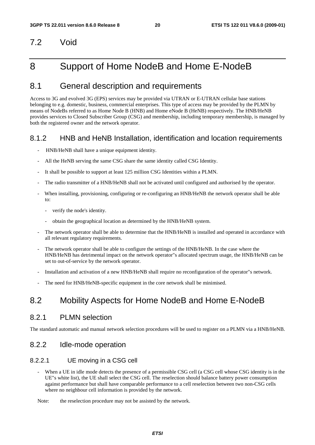# 7.2 Void

# 8 Support of Home NodeB and Home E-NodeB

# 8.1 General description and requirements

Access to 3G and evolved 3G (EPS) services may be provided via UTRAN or E-UTRAN cellular base stations belonging to e.g. domestic, business, commercial enterprises. This type of access may be provided by the PLMN by means of NodeBs referred to as Home Node B (HNB) and Home eNode B (HeNB) respectively. The HNB/HeNB provides services to Closed Subscriber Group (CSG) and membership, including temporary membership, is managed by both the registered owner and the network operator.

### 8.1.2 HNB and HeNB Installation, identification and location requirements

- HNB/HeNB shall have a unique equipment identity.
- All the HeNB serving the same CSG share the same identity called CSG Identity.
- It shall be possible to support at least 125 million CSG Identities within a PLMN.
- The radio transmitter of a HNB/HeNB shall not be activated until configured and authorised by the operator.
- When installing, provisioning, configuring or re-configuring an HNB/HeNB the network operator shall be able to:
	- verify the node's identity.
	- obtain the geographical location as determined by the HNB/HeNB system.
- The network operator shall be able to determine that the HNB/HeNB is installed and operated in accordance with all relevant regulatory requirements.
- The network operator shall be able to configure the settings of the HNB/HeNB. In the case where the HNB/HeNB has detrimental impact on the network operator"s allocated spectrum usage, the HNB/HeNB can be set to out-of-service by the network operator.
- Installation and activation of a new HNB/HeNB shall require no reconfiguration of the operator"s network.
- The need for HNB/HeNB-specific equipment in the core network shall be minimised.

# 8.2 Mobility Aspects for Home NodeB and Home E-NodeB

### 8.2.1 PLMN selection

The standard automatic and manual network selection procedures will be used to register on a PLMN via a HNB/HeNB.

### 8.2.2 Idle-mode operation

### 8.2.2.1 UE moving in a CSG cell

- When a UE in idle mode detects the presence of a permissible CSG cell (a CSG cell whose CSG identity is in the UE"s white list), the UE shall select the CSG cell. The reselection should balance battery power consumption against performance but shall have comparable performance to a cell reselection between two non-CSG cells where no neighbour cell information is provided by the network.
- Note: the reselection procedure may not be assisted by the network.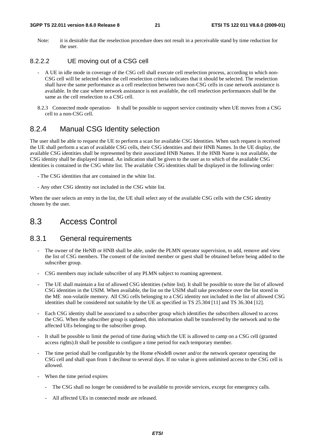#### **3GPP TS 22.011 version 8.6.0 Release 8 21 ETSI TS 122 011 V8.6.0 (2009-01)**

Note: it is desirable that the reselection procedure does not result in a perceivable stand by time reduction for the user.

### 8.2.2.2 UE moving out of a CSG cell

- A UE in idle mode in coverage of the CSG cell shall execute cell reselection process, according to which non-CSG cell will be selected when the cell reselection criteria indicates that it should be selected. The reselection shall have the same performance as a cell reselection between two non-CSG cells in case network assistance is available. In the case where network assistance is not available, the cell reselection performances shall be the same as the cell reselection to a CSG cell.
- 8.2.3 Connected mode operation- It shall be possible to support service continuity when UE moves from a CSG cell to a non-CSG cell.

### 8.2.4 Manual CSG Identity selection

The user shall be able to request the UE to perform a scan for available CSG Identities. When such request is received the UE shall perform a scan of available CSG cells, their CSG identities and their HNB Names. In the UE display, the available CSG identities shall be represented by their associated HNB Names. If the HNB Name is not available, the CSG identity shall be displayed instead. An indication shall be given to the user as to which of the available CSG identities is contained in the CSG white list. The available CSG identities shall be displayed in the following order:

- The CSG identities that are contained in the white list.
- Any other CSG identity not included in the CSG white list.

When the user selects an entry in the list, the UE shall select any of the available CSG cells with the CSG identity chosen by the user.

### 8.3 Access Control

### 8.3.1 General requirements

- The owner of the HeNB or HNB shall be able, under the PLMN operator supervision, to add, remove and view the list of CSG members. The consent of the invited member or guest shall be obtained before being added to the subscriber group.
- CSG members may include subscriber of any PLMN subject to roaming agreement.
- The UE shall maintain a list of allowed CSG identities (white list). It shall be possible to store the list of allowed CSG identities in the USIM. When available, the list on the USIM shall take precedence over the list stored in the ME non-volatile memory. All CSG cells belonging to a CSG identity not included in the list of allowed CSG identities shall be considered not suitable by the UE as specified in TS 25.304 [11] and TS 36.304 [12].
- Each CSG identity shall be associated to a subscriber group which identifies the subscribers allowed to access the CSG. When the subscriber group is updated, this information shall be transferred by the network and to the affected UEs belonging to the subscriber group.
- It shall be possible to limit the period of time during which the UE is allowed to camp on a CSG cell (granted access rights).It shall be possible to configure a time period for each temporary member.
- The time period shall be configurable by the Home eNodeB owner and/or the network operator operating the CSG cell and shall span from 1 decihour to several days. If no value is given unlimited access to the CSG cell is allowed.
- When the time period expires
	- The CSG shall no longer be considered to be available to provide services, except for emergency calls.
	- All affected UEs in connected mode are released.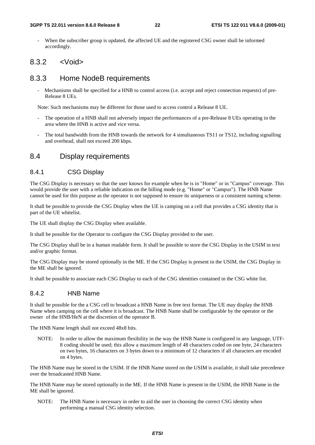When the subscriber group is updated, the affected UE and the registered CSG owner shall be informed accordingly.

### 8.3.2 <Void>

### 8.3.3 Home NodeB requirements

- Mechanisms shall be specified for a HNB to control access (i.e. accept and reject connection requests) of pre-Release 8 UEs.

Note: Such mechanisms may be different for those used to access control a Release 8 UE.

- The operation of a HNB shall not adversely impact the performances of a pre-Release 8 UEs operating in the area where the HNB is active and vice versa.
- The total bandwidth from the HNB towards the network for 4 simultaneous TS11 or TS12, including signalling and overhead, shall not exceed 200 kbps.

### 8.4 Display requirements

#### 8.4.1 CSG Display

The CSG Display is necessary so that the user knows for example when he is in "Home" or in "Campus" coverage. This would provide the user with a reliable indication on the billing mode (e.g. "Home" or "Campus"). The HNB Name cannot be used for this purpose as the operator is not supposed to ensure its uniqueness or a consistent naming scheme.

It shall be possible to provide the CSG Display when the UE is camping on a cell that provides a CSG identity that is part of the UE whitelist.

The UE shall display the CSG Display when available.

It shall be possible for the Operator to configure the CSG Display provided to the user.

The CSG Display shall be in a human readable form. It shall be possible to store the CSG Display in the USIM in text and/or graphic format.

The CSG Display may be stored optionally in the ME. If the CSG Display is present in the USIM, the CSG Display in the ME shall be ignored.

It shall be possible to associate each CSG Display to each of the CSG identities contained in the CSG white list.

#### 8.4.2 HNB Name

It shall be possible for the a CSG cell to broadcast a HNB Name in free text format. The UE may display the HNB Name when camping on the cell where it is broadcast. The HNB Name shall be configurable by the operator or the owner of the HNB/HeN at the discretion of the operator B.

The HNB Name length shall not exceed 48x8 bits.

NOTE: In order to allow the maximum flexibility in the way the HNB Name is configured in any language, UTF-8 coding should be used; this allow a maximum length of 48 characters coded on one byte, 24 characters on two bytes, 16 characters on 3 bytes down to a minimum of 12 characters if all characters are encoded on 4 bytes.

The HNB Name may be stored in the USIM. If the HNB Name stored on the USIM is available, it shall take precedence over the broadcasted HNB Name.

The HNB Name may be stored optionally in the ME. If the HNB Name is present in the USIM, the HNB Name in the ME shall be ignored.

NOTE: The HNB Name is necessary in order to aid the user in choosing the correct CSG identity when performing a manual CSG identity selection.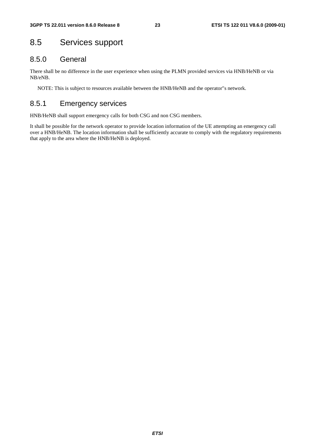# 8.5 Services support

### 8.5.0 General

There shall be no difference in the user experience when using the PLMN provided services via HNB/HeNB or via NB/eNB.

NOTE: This is subject to resources available between the HNB/HeNB and the operator"s network.

### 8.5.1 Emergency services

HNB/HeNB shall support emergency calls for both CSG and non CSG members.

It shall be possible for the network operator to provide location information of the UE attempting an emergency call over a HNB/HeNB. The location information shall be sufficiently accurate to comply with the regulatory requirements that apply to the area where the HNB/HeNB is deployed.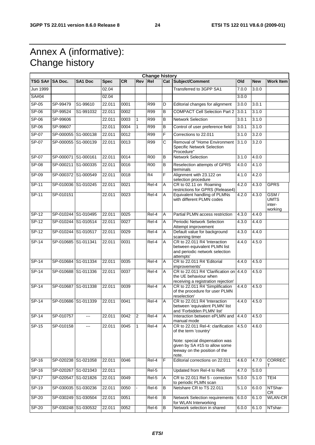# Annex A (informative): Change history

|                | <b>Change history</b> |                     |             |           |                |                |   |                                                                                                                                                                |       |            |                                          |
|----------------|-----------------------|---------------------|-------------|-----------|----------------|----------------|---|----------------------------------------------------------------------------------------------------------------------------------------------------------------|-------|------------|------------------------------------------|
| <b>TSG SA#</b> | <b>SA Doc.</b>        | <b>SA1 Doc</b>      | <b>Spec</b> | <b>CR</b> | Rev Rel        |                |   | Cat Subject/Comment                                                                                                                                            | Old   | <b>New</b> | <b>Work Item</b>                         |
| Jun 1999       |                       |                     | 02.04       |           |                |                |   | Transferred to 3GPP SA1                                                                                                                                        | 7.0.0 | 3.0.0      |                                          |
| SA#04          |                       |                     | 02.04       |           |                |                |   |                                                                                                                                                                | 3.0.0 |            |                                          |
| $SP-05$        | SP-99479              | S1-99610            | 22.011      | 0001      |                | R99            | D | Editorial changes for alignment                                                                                                                                | 3.0.0 | 3.0.1      |                                          |
| $SP-06$        | SP-99524              | S1-991032           | 22.011      | 0002      |                | <b>R99</b>     | B | <b>COMPACT Cell Selection Part 2</b>                                                                                                                           | 3.0.1 | 3.1.0      |                                          |
| SP-06          | SP-99606              |                     | 22.011      | 0003      | $\mathbf{1}$   | <b>R99</b>     | B | <b>Network Selection</b>                                                                                                                                       | 3.0.1 | 3.1.0      |                                          |
| $SP-06$        | SP-99607              |                     | 22.011      | 0004      | $\overline{1}$ | R99            | B | Control of user preference field                                                                                                                               | 3.0.1 | 3.1.0      |                                          |
| $SP-07$        |                       | SP-000055 S1-000138 | 22.011      | 0012      |                | R99            | F | Corrections to 22.011                                                                                                                                          | 3.1.0 | 3.2.0      |                                          |
| SP-07          |                       | SP-000055 S1-000139 | 22.011      | 0013      |                | <b>R99</b>     | С | Removal of "Home Environment<br><b>Specific Network Selection</b><br>Procedure"                                                                                | 3.1.0 | 3.2.0      |                                          |
| $SP-07$        | SP-000071 S1-000161   |                     | 22.011      | 0014      |                | <b>R00</b>     | B | <b>Network Selection</b>                                                                                                                                       | 3.1.0 | 4.0.0      |                                          |
| SP-08          | SP-000211 S1-000335   |                     | 22.011      | 0016      |                | <b>R00</b>     | B | Reselection attempts of GPRS<br>terminals                                                                                                                      | 4.0.0 | 4.1.0      |                                          |
| SP-09          |                       | SP-000372 S1-000549 | 22.011      | 0018      |                | R <sub>4</sub> | F | Alignment with 23.122 on<br>selection procedure                                                                                                                | 4.1.0 | 4.2.0      |                                          |
| $SP-11$        |                       | SP-010036 S1-010245 | 22.011      | 0021      |                | Rel-4          | A | CR to 02.11 on Roaming<br>restrictions for GPRS (Release4)                                                                                                     | 4.2.0 | 4.3.0      | <b>GPRS</b>                              |
| $SP-11$        | SP-010151             |                     | 22.011      | 0023      |                | Rel-4          | A | Equivalent handling of PLMNs<br>with different PLMN codes                                                                                                      | 4.2.0 | 4.3.0      | GSM/<br><b>UMTS</b><br>inter-<br>working |
| $SP-12$        |                       | SP-010244 S1-010495 | 22.011      | 0025      |                | Rel-4          | Α | Partial PLMN access restriction                                                                                                                                | 4.3.0 | 4.4.0      |                                          |
| $SP-12$        |                       | SP-010244 S1-010514 | 22.011      | 0027      |                | Rel-4          | A | <b>Periodic Network Selection</b><br>Attempt improvement                                                                                                       | 4.3.0 | 4.4.0      |                                          |
| $SP-12$        |                       | SP-010244 S1-010517 | 22.011      | 0029      |                | Rel-4          | A | Default value for background<br>scanning timer                                                                                                                 | 4.3.0 | 4.4.0      |                                          |
| $SP-14$        | SP-010685 S1-011341   |                     | 22.011      | 0031      |                | Rel-4          | A | CR to 22.011 R4 'Interaction<br>between equivalent PLMN list<br>and periodic network selection<br>attempts'                                                    | 4.4.0 | 4.5.0      |                                          |
| $SP-14$        |                       | SP-010684 S1-011334 | 22.011      | 0035      |                | Rel-4          | A | CR to 22.011 R4 'Editorial<br>improvements'                                                                                                                    | 4.4.0 | 4.5.0      |                                          |
| $SP-14$        |                       | SP-010688 S1-011336 | 22.011      | 0037      |                | Rel-4          | Α | CR to 22.011 R4 'Clarification on 4.4.0<br>the UE behaviour when<br>receiving a registration rejection'                                                        |       | 4.5.0      |                                          |
| $SP-14$        |                       | SP-010687 S1-011338 | 22.011      | 0039      |                | Rel-4          | Α | CR to 22.011 R4 'Simplification<br>of the procedure for user PLMN<br>reselection'                                                                              | 4.4.0 | 4.5.0      |                                          |
| $SP-14$        | SP-010686 S1-011339   |                     | 22.011      | 0041      |                | Rel-4          | A | CR to 22.011 R4 'Interaction<br>between 'equivalent PLMN' list<br>and 'Forbidden PLMN' list'                                                                   | 4.4.0 | 4.5.0      |                                          |
| $SP-14$        | SP-010757             | ---                 | 22.011      | 0042      | $\overline{2}$ | Rel-4          | Α | Interaction between ePLMN and<br>manual mode                                                                                                                   | 4.4.0 | 4.5.0      |                                          |
| $SP-15$        | SP-010158             | ---                 | 22.011      | 0045      | $\mathbf{1}$   | $Rel-4$        | Α | CR to 22.011 Rel-4: clarification<br>of the term 'country'<br>Note: special dispensation was<br>given by SA #15 to allow some<br>leeway on the position of the | 4.5.0 | 4.6.0      |                                          |
| SP-16          |                       | SP-020238 S1-021058 | 22.011      | 0046      |                | Rel-4          | F | note.<br>Editorial corrections on 22.011                                                                                                                       | 4.6.0 | 4.7.0      | <b>CORREC</b>                            |
| $SP-16$        |                       | SP-020267 S1-021043 | 22.011      |           |                | Rel-5          |   | Updated from Rel-4 to Rel5                                                                                                                                     | 4.7.0 | 5.0.0      |                                          |
| $SP-17$        |                       | SP-020547 S1-021826 | 22.011      | 0049      |                | Rel-5          | Α | CR to 22.011 Rel 5 - correction<br>to periodic PLMN scan                                                                                                       | 5.0.0 | 5.1.0      | TEI4                                     |
| $SP-19$        |                       | SP-030035 S1-030236 | 22.011      | 0050      |                | Rel-6          | B | Netshare CR to TS 22.011                                                                                                                                       | 5.1.0 | 6.0.0      | NTShar-<br>CR                            |
| SP-20          |                       | SP-030249 S1-030504 | 22.011      | 0051      |                | Rel-6          | B | <b>Network Selection requirements</b><br>for WLAN Interworking                                                                                                 | 6.0.0 | 6.1.0      | <b>WLAN-CR</b>                           |
| $SP-20$        |                       | SP-030248 S1-030532 | 22.011      | 0052      |                | Rel-6          | B | Network selection in shared                                                                                                                                    | 6.0.0 | 6.1.0      | NTshar-                                  |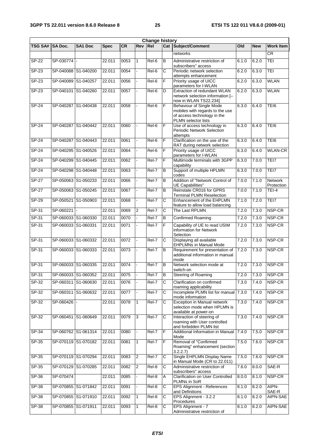| <b>Change history</b> |                     |                            |             |       |                |            |                |                                                                                                                    |       |            |                        |
|-----------------------|---------------------|----------------------------|-------------|-------|----------------|------------|----------------|--------------------------------------------------------------------------------------------------------------------|-------|------------|------------------------|
| <b>TSG SA#</b>        | <b>SA Doc.</b>      | SA1 Doc                    | <b>Spec</b> | CR    | <b>Rev</b>     | <b>Rel</b> |                | <b>Cat Subject/Comment</b>                                                                                         | Old   | <b>New</b> | <b>Work Item</b>       |
|                       |                     |                            |             |       |                |            |                | networks                                                                                                           |       |            | $\overline{\text{CR}}$ |
| $SP-22$               | SP-030774           |                            | 22.011      | 0053  | $\mathbf{1}$   | Rel-6      | B              | Administrative restriction of<br>subscribers" access                                                               | 6.1.0 | 6.2.0      | TEI                    |
| $SP-23$               |                     | SP-040088 S1-040200        | 22.011      | 0054  |                | Rel-6      | C              | Periodic network selection<br>attempts enhancement                                                                 | 6.2.0 | 6.3.0      | TEI                    |
| SP-23                 |                     | SP-040089 S1-040257        | 22.011      | 0056  | L.             | Rel-6      | F              | Priority usage of UICC                                                                                             | 6.2.0 | 6.3.0      | <b>WLAN</b>            |
| $SP-23$               |                     | SP-040101 S1-040260        | 22.011      | 0057  |                | Rel-6      | D              | parameters for I-WLAN<br>Extraction of redundant WLAN<br>network selection information [-<br>now in WLAN TS22.234] | 6.2.0 | 6.3.0      | <b>WLAN</b>            |
| SP-24                 |                     | SP-040287 S1-040438        | 22.011      | 0058  |                | Rel-6      | F              | Behaviour of Single Mode<br>mobiles with regards to the use<br>of access technology in the<br>PLMN selector lists  | 6.3.0 | 6.4.0      | TEI6                   |
| SP-24                 |                     | SP-040287 S1-040442        | 22.011      | 0060  |                | Rel-6      | F              | Use of access technology in<br><b>Periodic Network Selection</b><br>attempts                                       | 6.3.0 | 6.4.0      | TEI6                   |
| $SP-24$               |                     | SP-040287 S1-040443        | 22.011      | 0061  |                | Rel-6      | F              | Clarification on the use of the<br>RAT during network selection                                                    | 6.3.0 | 6.4.0      | TEI6                   |
| $SP-24$               |                     | SP-040295 S1-040526        | 22.011      | 0064  |                | Rel-6      | F              | Priority usage of UICC<br>parameters for I-WLAN                                                                    | 6.3.0 | 6.4.0      | <b>WLAN-CR</b>         |
| $SP-24$               | SP-040299           | S1-040445                  | 22.011      | 0062  |                | Rel-7      | F              | Multimode terminals with 3GPP<br>capability                                                                        | 6.3.0 | 7.0.0      | TEI7                   |
| <b>SP-24</b>          |                     | SP-040298 S1-040448        | 22.011      | 0063  |                | Rel-7      | B              | Support of multiple HPLMN<br>codes                                                                                 | 6.3.0 | 7.0.0      | TEI7                   |
| SP-27                 |                     | SP-050063 S1-050233        | 22.011      | 0066  |                | Rel-7      | $\overline{B}$ | Addition of "Network Control of<br>UE Capabilities"                                                                | 7.0.0 | 7.1.0      | Network<br>Protection  |
| $SP-27$               |                     | SP-050063 S1-050245        | 22.011      | 0067  |                | Rel-7      | B              | Reinstate CR016 for GPRS<br><b>Terminal PLMN Reselection</b>                                                       | 7.0.0 | 7.1.0      | $TEI-4$                |
| $SP-29$               |                     | SP-050521 S1-050903        | 22.011      | 0068  |                | Rel-7      | С              | Enhancement of the EHPLMN<br>feature to allow load balancing                                                       | 7.1.0 | 7.2.0      | TEI7                   |
| $SP-31$               | SP-060221           |                            | 22.011      | 0069  | $\overline{2}$ | Rel-7      | С              | The Last RPLMN                                                                                                     | 7.2.0 | 7.3.0      | NSP-CR                 |
| SP-31                 |                     | SP-060033 S1-060330        | 22.011      | 0070  |                | Rel-7      | B              | Confirmed Roaming                                                                                                  | 7.2.0 | 7.3.0      | NSP-CR                 |
| $SP-31$               | SP-060033 S1-060331 |                            | 22.011      | 0071  |                | Rel-7      | F              | Capability of UE to read USIM<br>information for Network<br>Selection                                              | 7.2.0 | 7.3.0      | NSP-CR                 |
| $SP-31$               |                     | SP-060033 S1-060332        | 22.011      | 0072  |                | Rel-7      | $\overline{C}$ | Displaying all available<br><b>EHPLMNs in Manual Mode</b>                                                          | 7.2.0 | 7.3.0      | NSP-CR                 |
| SP-31                 |                     | SP-060033 S1-060333        | 22.011      | 0073  |                | Rel-7      | $\overline{B}$ | Requirement for presentation of<br>additional information in manual<br>mode                                        | 7.2.0 | 7.3.0      | NSP-CR                 |
| SP-31                 |                     | SP-060033 S1-060335        | 22.011      | 0074  |                | Rel-7      | $\overline{B}$ | Network selection mode at<br>switch-on                                                                             | 7.2.0 | 7.3.0      | NSP-CR                 |
| SP-31                 |                     | SP-060033 S1-060352 22.011 |             | 10075 |                | Rel-7      | B              | Steering of Roaming                                                                                                |       |            | 7.2.0 7.3.0 NSP-CR     |
| $SP-32$               |                     | SP-060311 S1-060630        | 22.011      | 0076  |                | Rel-7      | C              | Clarification on confirmed<br>roaming applicability                                                                | 7.3.0 | 7.4.0      | NSP-CR                 |
| $SP-32$               |                     | SP-060311 S1-060632        | 22.011      | 0077  |                | Rel-7      | C              | Incomplete PLMN list for manual 7.3.0<br>mode information                                                          |       | 7.4.0      | NSP-CR                 |
| $SP-32$               | SP-060426           |                            | 22.011      | 0078  | $\mathbf{1}$   | Rel-7      | C              | Exception in Manual network<br>selection mode when HPLMN is<br>available at power-on                               | 7.3.0 | 7.4.0      | NSP-CR                 |
| SP-32                 |                     | SP-060451 S1-060649        | 22.011      | 0079  | $\overline{3}$ | Rel-7      | C              | Interaction of steering of<br>roaming with User controlled<br>and forbidden PLMN list                              | 7.3.0 | 7.4.0      | NSP-CR                 |
| $SP-34$               |                     | SP-060762 S1-061314        | 22.011      | 0080  |                | Rel-7      | $\overline{F}$ | Additional Information in Manual<br>Mode                                                                           | 7.4.0 | 7.5.0      | NSP-CR                 |
| $SP-35$               |                     | SP-070119 S1-070182        | 22.011      | 0081  | $\mathbf{1}$   | Rel-7      | $\overline{F}$ | Removal of "Confirmed<br>Roaming" enhancement (section<br>3.2.2.7                                                  | 7.5.0 | 7.6.0      | NSP-CR                 |
| $SP-35$               |                     | SP-070119 S1-070294        | 22.011      | 0083  | $\overline{2}$ | Rel-7      | $\overline{C}$ | Single EHPLMN Display Name<br>in Manual Mode (CR to 22.011)                                                        | 7.5.0 | 7.6.0      | NSP-CR                 |
| SP-35                 |                     | SP-070129 S1-070285        | 22.011      | 0082  | $\overline{2}$ | Rel-8      | C              | Administrative restriction of<br>subscribers" access                                                               | 7.6.0 | 8.0.0      | SAE-R                  |
| SP-36                 | SP-070474           |                            | 22.011      | 0085  |                | Rel-8      | Α              | Clarification on User Controlled<br>PLMNs in SoR                                                                   | 8.0.0 | 8.1.0      | NSP-CR                 |
| $SP-38$               |                     | SP-070855 S1-071842        | 22.011      | 0091  |                | Rel-8      | С              | <b>EPS Alignment - References</b><br>and Definitions                                                               | 8.1.0 | 8.2.0      | AIPN-<br>SAE-R         |
| SP-38                 |                     | SP-070855 S1-071910        | 22.011      | 0092  | $\mathbf{1}$   | Rel-8      | С              | EPS Alignment - 3.2.2<br>Procedures                                                                                | 8.1.0 | 8.2.0      | AIPN-SAE               |
| $SP-38$               | SP-070855 S1-071911 |                            | 22.011      | 0093  | $\mathbf{1}$   | Rel-8      | С              | EPS Alignment - 7<br>Administrative restriction of                                                                 | 8.1.0 | 8.2.0      | AIPN-SAE               |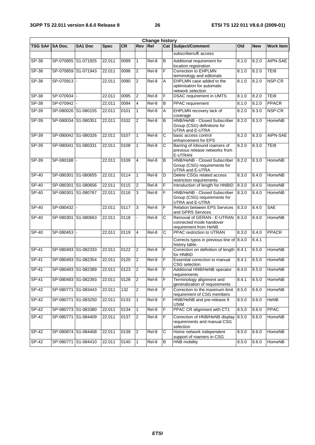|                | <b>Change history</b> |                          |             |           |                         |         |                |                                                                                   |       |            |                  |
|----------------|-----------------------|--------------------------|-------------|-----------|-------------------------|---------|----------------|-----------------------------------------------------------------------------------|-------|------------|------------------|
| <b>TSG SA#</b> | <b>SA Doc.</b>        | SA1 Doc                  | <b>Spec</b> | <b>CR</b> | <b>Rev</b>              | Rel     |                | Cat Subject/Comment                                                               | Old   | <b>New</b> | <b>Work Item</b> |
|                |                       |                          |             |           |                         |         |                | subscribersÆ access                                                               |       |            |                  |
| $SP-38$        |                       | SP-070855 S1-071925      | 22.011      | 0099      | $\mathbf{1}$            | Rel-8   | B              | Additional requirement for<br>location registration                               | 8.1.0 | 8.2.0      | AIPN-SAE         |
| $SP-38$        |                       | SP-070859 S1-071943      | 22.011      | 0098      | 2                       | $ReI-8$ | F              | Correction to EHPLMN<br>terminology and editorials                                | 8.1.0 | 8.2.0      | TE <sub>18</sub> |
| SP-38          | SP-070913             |                          | 22.011      | 0090      | 2                       | Rel-8   | A              | EHPLMN case added to the<br>optimisation for automatic<br>network selection       | 8.1.0 | 8.2.0      | NSP-CR           |
| $SP-38$        | SP-070934 -           |                          | 22.011      | 0095      | $\overline{\mathbf{c}}$ | Rel-8   | F              | <b>DSAC</b> requirement in UMTS                                                   | 8.1.0 | 8.2.0      | TEI8             |
| $SP-38$        | SP-070942             |                          | 22.011      | 0094      | 4                       | Rel-8   | B              | <b>PPAC</b> requirement                                                           | 8.1.0 | 8.2.0      | <b>PPACR</b>     |
| $SP-39$        |                       | SP-080026 S1-080155      | 22.011      | 0101      | $\mathbf{1}$            | Rel-8   | A              | EHPLMN recovery lack of<br>coverage                                               | 8.2.0 | 8.3.0      | NSP-CR           |
| SP-39          |                       | SP-080034 S1-080351      | 22.011      | 0102      | $\overline{2}$          | Rel-8   | B              | HNB/HeNB - Closed Subscriber<br>Group (CSG) definitions for<br>UTRA and E-UTRA    | 8.2.0 | 8.3.0      | HomeNB           |
| SP-39          |                       | SP-080042 S1-080326      | 22.011      | 0107      | $\mathbf{1}$            | Rel-8   | С              | basic access control<br>enhancement for EPS                                       | 8.2.0 | 8.3.0      | AIPN-SAE         |
| $SP-39$        |                       | SP-080041 S1-080331      | 22.011      | 0108      | $\mathbf{1}$            | Rel-8   | С              | Barring of inbound roamers of<br>previous release networks from<br><b>E-UTRAN</b> | 8.2.0 | 8.3.0      | TE <sub>18</sub> |
| SP-39          | SP-080188             | $\overline{\phantom{a}}$ | 22.011      | 0109      | $\overline{4}$          | Rel-8   | B              | HNB/HeNB - Closed Subscriber<br>Group (CSG) requirements for<br>UTRA and E-UTRA   | 8.2.0 | 8.3.0      | <b>HomeNB</b>    |
| $SP-40$        |                       | SP-080301 S1-080655      | 22.011      | 0114      | $\mathbf{1}$            | Rel-8   | D              | Delete CSGs related access<br>restriction requirements                            | 8.3.0 | 8.4.0      | HomeNB           |
| <b>SP-40</b>   |                       | SP-080301 S1-080656      | 22.011      | 0115      | 2                       | $ReI-8$ | F              | Introduction of length for HNBID                                                  | 8.3.0 | 8.4.0      | HomeNB           |
| SP-40          |                       | SP-080301 S1-080767      | 22.011      | 0116      | 3                       | Rel-8   | F              | HNB/HeNB - Closed Subscriber<br>Group (CSG) requirements for<br>UTRA and E-UTRA   | 8.3.0 | 8.4.0      | HomeNB           |
| $SP-40$        | SP-080432             | ÷,                       | 22.011      | 0117      | 3                       | Rel-8   | F              | Relation between EPS Services<br>and GPRS Services                                | 8.3.0 | 8.4.0      | <b>SAE</b>       |
| $SP-40$        |                       | SP-080301 S1-080663      | 22.011      | 0118      |                         | Rel-8   | С              | Removal of GERAN - E-UTRAN<br>connected mode handover<br>requirement from HeNB    | 8.3.0 | 8.4.0      | <b>HomeNB</b>    |
| $SP-40$        | SP-080453 -           |                          | 22.011      | 0119      | 4                       | Rel-8   | C              | PPAC restriction to UTRAN                                                         | 8.3.0 | 8.4.0      | <b>PPACR</b>     |
|                |                       |                          |             |           |                         |         |                | Corrects typos in previous line of 8.4.0<br>history table.                        |       | 8.4.1      |                  |
| $SP-41$        |                       | SP-080493 S1-082333      | 22.011      | 0122      | $\overline{2}$          | Rel-8   | F              | Correction on definition of length 8.4.1<br>for HNBID                             |       | 8.5.0      | HomeNB           |
| $SP-41$        |                       | SP-080493 S1-082354      | 22.011      | 0120      | $\overline{2}$          | Rel-8   | F              | Essential correction to manual<br><b>CSG</b> selection                            | 8.4.1 | 8.5.0      | HomeNB           |
| $SP-41$        |                       | SP-080493 S1-082389      | 22.011      | 0123      | $\overline{2}$          | Rel-8   | F              | Additional HNB/HeNB operator<br>requirements                                      | 8.4.0 | 8.5.0      | HomeNB           |
| $SP-41$        |                       | SP-080493 S1-082393      | 22.011      | 0128      | $\overline{c}$          | Rel-8   | F              | Terminology alignment and<br>generalization of requirements                       | 8.4.1 | 8.5.0      | HomeNB           |
| $SP-42$        |                       | SP-080771 S1-083443      | 22.011      | 132       | $\overline{c}$          | Rel-8   | F              | Correction to the maximum limit<br>requirement of CSG members                     | 8.5.0 | 8.6.0      | HomeNB           |
| $SP-42$        |                       | SP-080771 S1-083250      | 22.011      | 0133      | $\mathbf{1}$            | Rel-8   | F              | HNB/HeNB and pre-release 8<br><b>USIM</b>                                         | 8.5.0 | 8.6.0      | HeNB             |
| $SP-42$        |                       | SP-080773 S1-083380      | 22.011      | 0134      | $\mathbf{1}$            | Rel-8   | F              | PPAC CR alignment with CT1                                                        | 8.5.0 | 8.6.0      | <b>PPAC</b>      |
| SP-42          |                       | SP-080771 S1-084409      | 22.011      | 0137      | $\overline{c}$          | Rel-8   | $\mathsf F$    | Correction of HNB/HeNB display<br>requirements and manual CSG<br>selection        | 8.5.0 | 8.6.0      | HomeNB           |
| SP-42          |                       | SP-080874 S1-084408      | 22.011      | 0139      | $\overline{2}$          | Rel-8   | С              | Home network independent<br>support of roamers in CSG                             | 8.5.0 | 8.6.0      | HomeNB           |
| $SP-42$        |                       | SP-080771 S1-084410      | 22.011      | 0140      | $\mathbf{1}$            | Rel-8   | $\overline{B}$ | <b>HNB</b> mobility                                                               | 8.5.0 | 8.6.0      | HomeNB           |